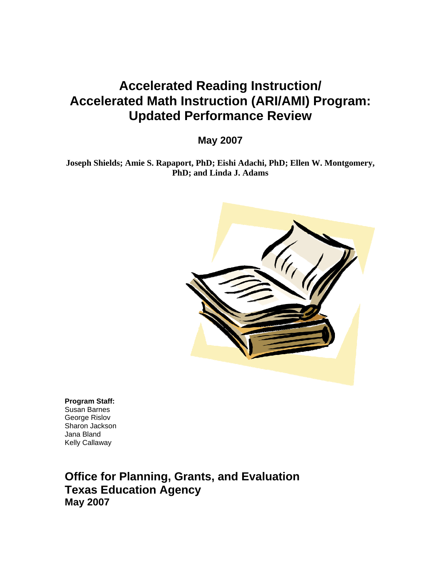# **Accelerated Reading Instruction/ Accelerated Math Instruction (ARI/AMI) Program: Updated Performance Review**

**May 2007** 

**Joseph Shields; Amie S. Rapaport, PhD; Eishi Adachi, PhD; Ellen W. Montgomery, PhD; and Linda J. Adams** 



**Program Staff:**  Susan Barnes George Rislov Sharon Jackson Jana Bland Kelly Callaway

**Office for Planning, Grants, and Evaluation Texas Education Agency May 2007**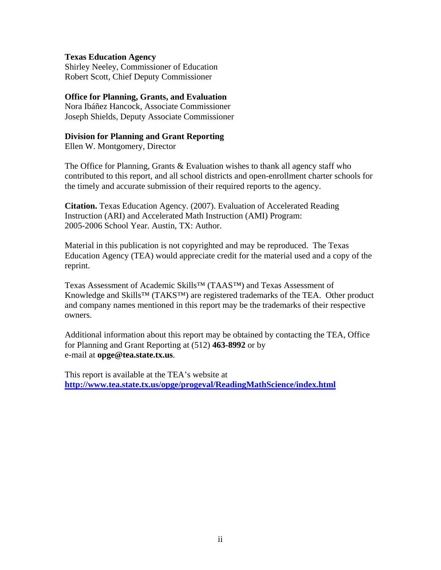# **Texas Education Agency**

Shirley Neeley, Commissioner of Education Robert Scott, Chief Deputy Commissioner

# **Office for Planning, Grants, and Evaluation**

Nora Ibáñez Hancock, Associate Commissioner Joseph Shields, Deputy Associate Commissioner

## **Division for Planning and Grant Reporting**

Ellen W. Montgomery, Director

The Office for Planning, Grants & Evaluation wishes to thank all agency staff who contributed to this report, and all school districts and open-enrollment charter schools for the timely and accurate submission of their required reports to the agency.

**Citation.** Texas Education Agency. (2007). Evaluation of Accelerated Reading Instruction (ARI) and Accelerated Math Instruction (AMI) Program: 2005-2006 School Year. Austin, TX: Author.

Material in this publication is not copyrighted and may be reproduced. The Texas Education Agency (TEA) would appreciate credit for the material used and a copy of the reprint.

Texas Assessment of Academic Skills™ (TAAS™) and Texas Assessment of Knowledge and Skills™ (TAKS™) are registered trademarks of the TEA. Other product and company names mentioned in this report may be the trademarks of their respective owners.

Additional information about this report may be obtained by contacting the TEA, Office for Planning and Grant Reporting at (512) **463-8992** or by e-mail at **[opge@tea.state.tx.us](mailto:opge@tea.state.tx.us)**.

This report is available at the TEA's website at **<http://www.tea.state.tx.us/opge/progeval/ReadingMathScience/index.html>**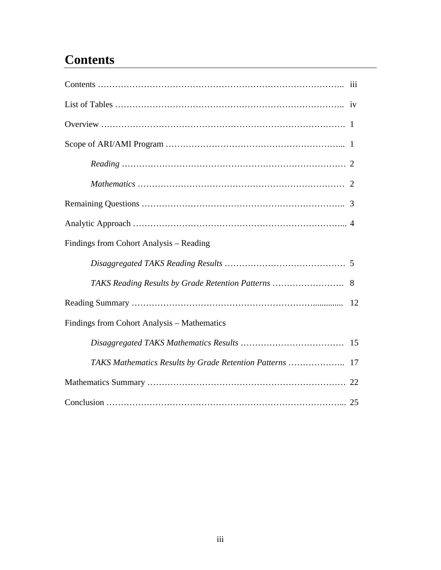# **Contents**

| Findings from Cohort Analysis - Reading     |  |
|---------------------------------------------|--|
|                                             |  |
|                                             |  |
|                                             |  |
| Findings from Cohort Analysis - Mathematics |  |
|                                             |  |
|                                             |  |
|                                             |  |
|                                             |  |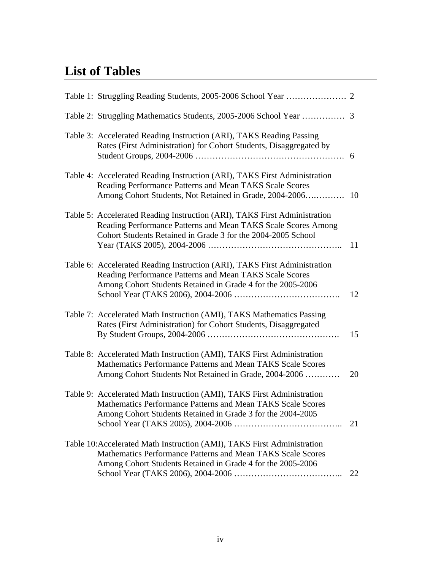# **List of Tables**

| Table 3: Accelerated Reading Instruction (ARI), TAKS Reading Passing<br>Rates (First Administration) for Cohort Students, Disaggregated by                                                                 |    |
|------------------------------------------------------------------------------------------------------------------------------------------------------------------------------------------------------------|----|
| Table 4: Accelerated Reading Instruction (ARI), TAKS First Administration<br>Reading Performance Patterns and Mean TAKS Scale Scores                                                                       |    |
| Table 5: Accelerated Reading Instruction (ARI), TAKS First Administration<br>Reading Performance Patterns and Mean TAKS Scale Scores Among<br>Cohort Students Retained in Grade 3 for the 2004-2005 School | 11 |
| Table 6: Accelerated Reading Instruction (ARI), TAKS First Administration<br>Reading Performance Patterns and Mean TAKS Scale Scores<br>Among Cohort Students Retained in Grade 4 for the 2005-2006        | 12 |
| Table 7: Accelerated Math Instruction (AMI), TAKS Mathematics Passing<br>Rates (First Administration) for Cohort Students, Disaggregated                                                                   | 15 |
| Table 8: Accelerated Math Instruction (AMI), TAKS First Administration<br>Mathematics Performance Patterns and Mean TAKS Scale Scores<br>Among Cohort Students Not Retained in Grade, 2004-2006            | 20 |
| Table 9: Accelerated Math Instruction (AMI), TAKS First Administration<br>Mathematics Performance Patterns and Mean TAKS Scale Scores<br>Among Cohort Students Retained in Grade 3 for the 2004-2005       | 21 |
| Table 10: Accelerated Math Instruction (AMI), TAKS First Administration<br>Mathematics Performance Patterns and Mean TAKS Scale Scores<br>Among Cohort Students Retained in Grade 4 for the 2005-2006      | 22 |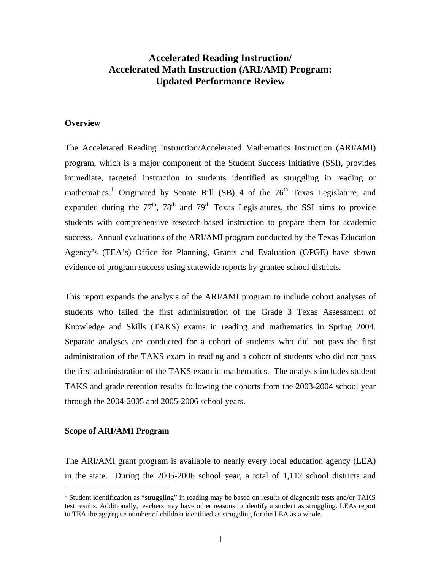# **Accelerated Reading Instruction/ Accelerated Math Instruction (ARI/AMI) Program: Updated Performance Review**

#### **Overview**

The Accelerated Reading Instruction/Accelerated Mathematics Instruction (ARI/AMI) program, which is a major component of the Student Success Initiative (SSI), provides immediate, targeted instruction to students identified as struggling in reading or mathematics.<sup>[1](#page-4-0)</sup> Originated by Senate Bill (SB) 4 of the  $76<sup>th</sup>$  Texas Legislature, and expanded during the  $77<sup>th</sup>$ ,  $78<sup>th</sup>$  and  $79<sup>th</sup>$  Texas Legislatures, the SSI aims to provide students with comprehensive research-based instruction to prepare them for academic success. Annual evaluations of the ARI/AMI program conducted by the Texas Education Agency's (TEA's) Office for Planning, Grants and Evaluation (OPGE) have shown evidence of program success using statewide reports by grantee school districts.

This report expands the analysis of the ARI/AMI program to include cohort analyses of students who failed the first administration of the Grade 3 Texas Assessment of Knowledge and Skills (TAKS) exams in reading and mathematics in Spring 2004. Separate analyses are conducted for a cohort of students who did not pass the first administration of the TAKS exam in reading and a cohort of students who did not pass the first administration of the TAKS exam in mathematics. The analysis includes student TAKS and grade retention results following the cohorts from the 2003-2004 school year through the 2004-2005 and 2005-2006 school years.

#### **Scope of ARI/AMI Program**

 $\overline{a}$ 

The ARI/AMI grant program is available to nearly every local education agency (LEA) in the state. During the 2005-2006 school year, a total of 1,112 school districts and

<span id="page-4-0"></span><sup>&</sup>lt;sup>1</sup> Student identification as "struggling" in reading may be based on results of diagnostic tests and/or TAKS test results. Additionally, teachers may have other reasons to identify a student as struggling. LEAs report to TEA the aggregate number of children identified as struggling for the LEA as a whole.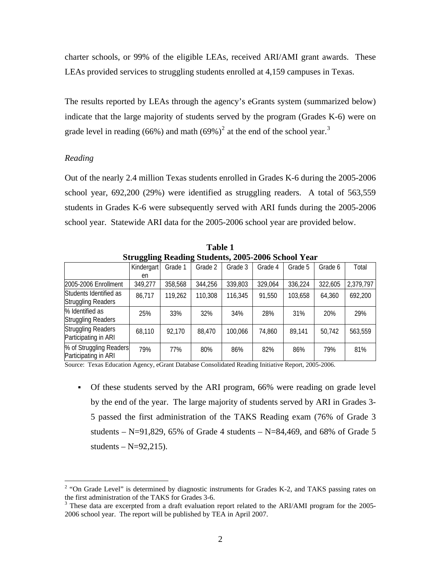charter schools, or 99% of the eligible LEAs, received ARI/AMI grant awards. These LEAs provided services to struggling students enrolled at 4,159 campuses in Texas.

The results reported by LEAs through the agency's eGrants system (summarized below) indicate that the large majority of students served by the program (Grades K-6) were on grade level in reading (66%) and math (69%)<sup>[2](#page-5-0)</sup> at the end of the school year.<sup>[3](#page-5-1)</sup>

## *Reading*

 $\overline{a}$ 

Out of the nearly 2.4 million Texas students enrolled in Grades K-6 during the 2005-2006 school year, 692,200 (29%) were identified as struggling readers. A total of 563,559 students in Grades K-6 were subsequently served with ARI funds during the 2005-2006 school year. Statewide ARI data for the 2005-2006 school year are provided below.

| Struggling Reading Students, 2005-2006 School Year |            |         |         |         |         |         |         |           |  |
|----------------------------------------------------|------------|---------|---------|---------|---------|---------|---------|-----------|--|
|                                                    | Kindergart | Grade 1 | Grade 2 | Grade 3 | Grade 4 | Grade 5 | Grade 6 | Total     |  |
|                                                    | en         |         |         |         |         |         |         |           |  |
| 2005-2006 Enrollment                               | 349,277    | 358,568 | 344,256 | 339,803 | 329,064 | 336,224 | 322,605 | 2,379,797 |  |
| Students Identified as                             | 86,717     | 119,262 | 110,308 | 116,345 | 91,550  | 103,658 | 64.360  | 692,200   |  |
| <b>Struggling Readers</b>                          |            |         |         |         |         |         |         |           |  |
| % Identified as                                    | 25%        | 33%     | 32%     | 34%     | 28%     | 31%     | 20%     | 29%       |  |
| <b>Struggling Readers</b>                          |            |         |         |         |         |         |         |           |  |
| <b>Struggling Readers</b>                          | 68,110     | 92,170  | 88,470  | 100.066 | 74,860  | 89,141  | 50,742  | 563,559   |  |
| Participating in ARI                               |            |         |         |         |         |         |         |           |  |
| % of Struggling Readers                            | 79%        | 77%     | 80%     | 86%     | 82%     | 86%     | 79%     | 81%       |  |
| Participating in ARI                               |            |         |         |         |         |         |         |           |  |

**Table 1 Struggling Reading Students, 2005-2006 School Year** 

Source: Texas Education Agency, eGrant Database Consolidated Reading Initiative Report, 2005-2006.

 Of these students served by the ARI program, 66% were reading on grade level by the end of the year. The large majority of students served by ARI in Grades 3- 5 passed the first administration of the TAKS Reading exam (76% of Grade 3 students – N=91,829, 65% of Grade 4 students – N=84,469, and 68% of Grade 5 students  $-N=92,215$ ).

<span id="page-5-0"></span> $2$  "On Grade Level" is determined by diagnostic instruments for Grades K-2, and TAKS passing rates on the first administration of the TAKS for Grades 3-6.

<span id="page-5-1"></span> $3$  These data are excerpted from a draft evaluation report related to the ARI/AMI program for the 2005-2006 school year. The report will be published by TEA in April 2007.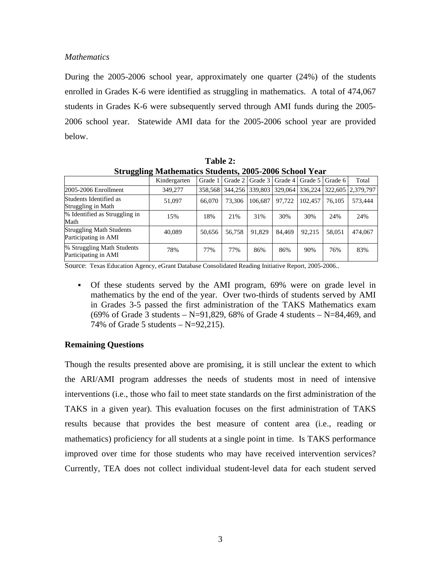# *Mathematics*

During the 2005-2006 school year, approximately one quarter (24%) of the students enrolled in Grades K-6 were identified as struggling in mathematics. A total of 474,067 students in Grades K-6 were subsequently served through AMI funds during the 2005- 2006 school year. Statewide AMI data for the 2005-2006 school year are provided below.

| Struggling Mathematics Students, 2005-2006 School Year  |              |         |         |                 |        |                             |        |                   |  |
|---------------------------------------------------------|--------------|---------|---------|-----------------|--------|-----------------------------|--------|-------------------|--|
|                                                         | Kindergarten | Grade 1 | Grade 2 | Grade 3         |        | Grade 4   Grade 5   Grade 6 |        | Total             |  |
| 2005-2006 Enrollment                                    | 349,277      | 358,568 |         | 344.256 339.803 |        | 329,064 336,224             |        | 322,605 2.379,797 |  |
| Students Identified as<br>Struggling in Math            | 51,097       | 66,070  | 73,306  | 106.687         | 97.722 | 102.457                     | 76.105 | 573.444           |  |
| % Identified as Struggling in<br>Math                   | 15%          | 18%     | 21%     | 31%             | 30%    | 30%                         | 24%    | 24%               |  |
| <b>Struggling Math Students</b><br>Participating in AMI | 40.089       | 50.656  | 56.758  | 91.829          | 84.469 | 92.215                      | 58.051 | 474,067           |  |
| % Struggling Math Students<br>Participating in AMI      | 78%          | 77%     | 77%     | 86%             | 86%    | 90%                         | 76%    | 83%               |  |

**Table 2: Struggling Mathematics Students, 2005-2006 School Year** 

Source: Texas Education Agency, eGrant Database Consolidated Reading Initiative Report, 2005-2006..

 Of these students served by the AMI program, 69% were on grade level in mathematics by the end of the year. Over two-thirds of students served by AMI in Grades 3-5 passed the first administration of the TAKS Mathematics exam (69% of Grade 3 students – N=91,829, 68% of Grade 4 students – N=84,469, and 74% of Grade 5 students  $-$  N=92,215).

# **Remaining Questions**

Though the results presented above are promising, it is still unclear the extent to which the ARI/AMI program addresses the needs of students most in need of intensive interventions (i.e., those who fail to meet state standards on the first administration of the TAKS in a given year). This evaluation focuses on the first administration of TAKS results because that provides the best measure of content area (i.e., reading or mathematics) proficiency for all students at a single point in time. Is TAKS performance improved over time for those students who may have received intervention services? Currently, TEA does not collect individual student-level data for each student served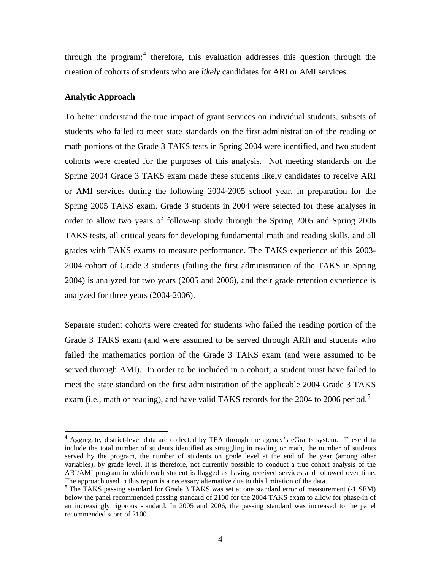through the program;<sup>[4](#page-7-0)</sup> therefore, this evaluation addresses this question through the creation of cohorts of students who are *likely* candidates for ARI or AMI services.

#### **Analytic Approach**

 $\overline{a}$ 

To better understand the true impact of grant services on individual students, subsets of students who failed to meet state standards on the first administration of the reading or math portions of the Grade 3 TAKS tests in Spring 2004 were identified, and two student cohorts were created for the purposes of this analysis. Not meeting standards on the Spring 2004 Grade 3 TAKS exam made these students likely candidates to receive ARI or AMI services during the following 2004-2005 school year, in preparation for the Spring 2005 TAKS exam. Grade 3 students in 2004 were selected for these analyses in order to allow two years of follow-up study through the Spring 2005 and Spring 2006 TAKS tests, all critical years for developing fundamental math and reading skills, and all grades with TAKS exams to measure performance. The TAKS experience of this 2003- 2004 cohort of Grade 3 students (failing the first administration of the TAKS in Spring 2004) is analyzed for two years (2005 and 2006), and their grade retention experience is analyzed for three years (2004-2006).

Separate student cohorts were created for students who failed the reading portion of the Grade 3 TAKS exam (and were assumed to be served through ARI) and students who failed the mathematics portion of the Grade 3 TAKS exam (and were assumed to be served through AMI). In order to be included in a cohort, a student must have failed to meet the state standard on the first administration of the applicable 2004 Grade 3 TAKS exam (i.e., math or reading), and have valid TAKS records for the 2004 to 2006 period.<sup>[5](#page-7-1)</sup>

<span id="page-7-0"></span><sup>&</sup>lt;sup>4</sup> Aggregate, district-level data are collected by TEA through the agency's eGrants system. These data include the total number of students identified as struggling in reading or math, the number of students served by the program, the number of students on grade level at the end of the year (among other variables), by grade level. It is therefore, not currently possible to conduct a true cohort analysis of the ARI/AMI program in which each student is flagged as having received services and followed over time. The approach used in this report is a necessary alternative due to this limitation of the data.

<span id="page-7-1"></span><sup>&</sup>lt;sup>5</sup> The TAKS passing standard for Grade 3 TAKS was set at one standard error of measurement (-1 SEM) below the panel recommended passing standard of 2100 for the 2004 TAKS exam to allow for phase-in of an increasingly rigorous standard. In 2005 and 2006, the passing standard was increased to the panel recommended score of 2100.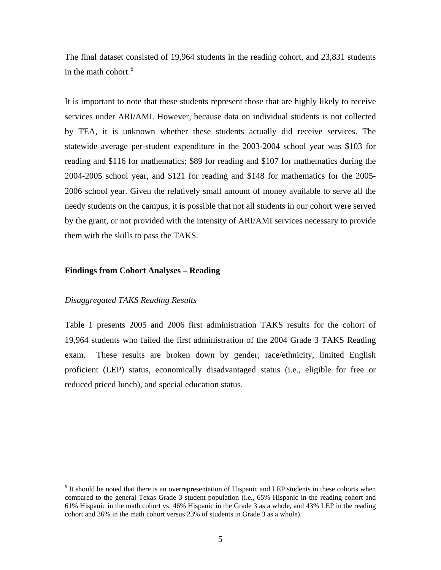The final dataset consisted of 19,964 students in the reading cohort, and 23,831 students in the math cohort.<sup>[6](#page-8-0)</sup>

It is important to note that these students represent those that are highly likely to receive services under ARI/AMI. However, because data on individual students is not collected by TEA, it is unknown whether these students actually did receive services. The statewide average per-student expenditure in the 2003-2004 school year was \$103 for reading and \$116 for mathematics; \$89 for reading and \$107 for mathematics during the 2004-2005 school year, and \$121 for reading and \$148 for mathematics for the 2005- 2006 school year. Given the relatively small amount of money available to serve all the needy students on the campus, it is possible that not all students in our cohort were served by the grant, or not provided with the intensity of ARI/AMI services necessary to provide them with the skills to pass the TAKS.

#### **Findings from Cohort Analyses – Reading**

#### *Disaggregated TAKS Reading Results*

 $\overline{a}$ 

Table 1 presents 2005 and 2006 first administration TAKS results for the cohort of 19,964 students who failed the first administration of the 2004 Grade 3 TAKS Reading exam. These results are broken down by gender, race/ethnicity, limited English proficient (LEP) status, economically disadvantaged status (i.e., eligible for free or reduced priced lunch), and special education status.

<span id="page-8-0"></span><sup>&</sup>lt;sup>6</sup> It should be noted that there is an overrepresentation of Hispanic and LEP students in these cohorts when compared to the general Texas Grade 3 student population (i.e., 65% Hispanic in the reading cohort and 61% Hispanic in the math cohort vs. 46% Hispanic in the Grade 3 as a whole, and 43% LEP in the reading cohort and 36% in the math cohort versus 23% of students in Grade 3 as a whole).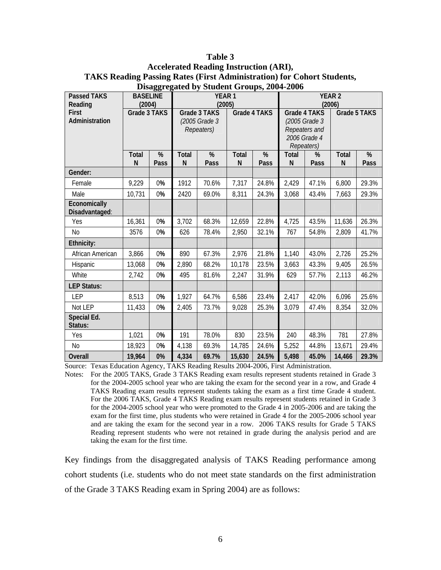| <b>Table 3</b>                                                                |
|-------------------------------------------------------------------------------|
| <b>Accelerated Reading Instruction (ARI),</b>                                 |
| <b>TAKS Reading Passing Rates (First Administration) for Cohort Students,</b> |
| Disaggregated by Student Groups, 2004-2006                                    |

| <b>Passed TAKS</b>     | <b>BASELINE</b>   |      | YEAR <sub>1</sub> |               |                   |              | <b>YEAR 2</b>     |               |                              |       |
|------------------------|-------------------|------|-------------------|---------------|-------------------|--------------|-------------------|---------------|------------------------------|-------|
| Reading                | (2004)            |      | (2005)            |               |                   |              | (2006)            |               |                              |       |
| <b>First</b>           | Grade 3 TAKS      |      |                   | Grade 3 TAKS  |                   | Grade 4 TAKS | Grade 4 TAKS      | Grade 5 TAKS  |                              |       |
| Administration         |                   |      |                   | (2005 Grade 3 |                   |              |                   | (2005 Grade 3 |                              |       |
|                        |                   |      |                   | Repeaters)    |                   |              |                   | Repeaters and |                              |       |
|                        |                   |      |                   |               |                   |              |                   | 2006 Grade 4  |                              |       |
|                        |                   | %    | Total             | %             |                   | %            |                   | Repeaters)    |                              | %     |
|                        | <b>Total</b><br>N | Pass | ${\sf N}$         | Pass          | <b>Total</b><br>N | Pass         | <b>Total</b><br>N | %<br>Pass     | <b>Total</b><br>$\mathsf{N}$ | Pass  |
| Gender:                |                   |      |                   |               |                   |              |                   |               |                              |       |
| Female                 | 9,229             | 0%   | 1912              | 70.6%         | 7,317             | 24.8%        | 2,429             | 47.1%         | 6,800                        | 29.3% |
| Male                   | 10,731            | 0%   | 2420              | 69.0%         | 8,311             | 24.3%        | 3,068             | 43.4%         | 7,663                        | 29.3% |
| Economically           |                   |      |                   |               |                   |              |                   |               |                              |       |
| Disadvantaged:         |                   |      |                   |               |                   |              |                   |               |                              |       |
| Yes                    | 16,361            | 0%   | 3,702             | 68.3%         | 12,659            | 22.8%        | 4,725             | 43.5%         | 11,636                       | 26.3% |
| N <sub>0</sub>         | 3576              | 0%   | 626               | 78.4%         | 2,950             | 32.1%        | 767               | 54.8%         | 2,809                        | 41.7% |
| Ethnicity:             |                   |      |                   |               |                   |              |                   |               |                              |       |
| African American       | 3,866             | 0%   | 890               | 67.3%         | 2,976             | 21.8%        | 1,140             | 43.0%         | 2,726                        | 25.2% |
| Hispanic               | 13,068            | 0%   | 2,890             | 68.2%         | 10,178            | 23.5%        | 3,663             | 43.3%         | 9,405                        | 26.5% |
| White                  | 2,742             | 0%   | 495               | 81.6%         | 2,247             | 31.9%        | 629               | 57.7%         | 2,113                        | 46.2% |
| <b>LEP Status:</b>     |                   |      |                   |               |                   |              |                   |               |                              |       |
| <b>LEP</b>             | 8,513             | 0%   | 1,927             | 64.7%         | 6,586             | 23.4%        | 2,417             | 42.0%         | 6,096                        | 25.6% |
| Not LEP                | 11,433            | 0%   | 2,405             | 73.7%         | 9,028             | 25.3%        | 3,079             | 47.4%         | 8,354                        | 32.0% |
| Special Ed.<br>Status: |                   |      |                   |               |                   |              |                   |               |                              |       |
| Yes                    | 1,021             | 0%   | 191               | 78.0%         | 830               | 23.5%        | 240               | 48.3%         | 781                          | 27.8% |
| No                     | 18,923            | 0%   | 4,138             | 69.3%         | 14,785            | 24.6%        | 5,252             | 44.8%         | 13,671                       | 29.4% |
| Overall                | 19,964            | 0%   | 4,334             | 69.7%         | 15,630            | 24.5%        | 5,498             | 45.0%         | 14,466                       | 29.3% |

Source: Texas Education Agency, TAKS Reading Results 2004-2006, First Administration.

Notes: For the 2005 TAKS, Grade 3 TAKS Reading exam results represent students retained in Grade 3 for the 2004-2005 school year who are taking the exam for the second year in a row, and Grade 4 TAKS Reading exam results represent students taking the exam as a first time Grade 4 student. For the 2006 TAKS, Grade 4 TAKS Reading exam results represent students retained in Grade 3 for the 2004-2005 school year who were promoted to the Grade 4 in 2005-2006 and are taking the exam for the first time, plus students who were retained in Grade 4 for the 2005-2006 school year and are taking the exam for the second year in a row. 2006 TAKS results for Grade 5 TAKS Reading represent students who were not retained in grade during the analysis period and are taking the exam for the first time.

Key findings from the disaggregated analysis of TAKS Reading performance among cohort students (i.e. students who do not meet state standards on the first administration of the Grade 3 TAKS Reading exam in Spring 2004) are as follows: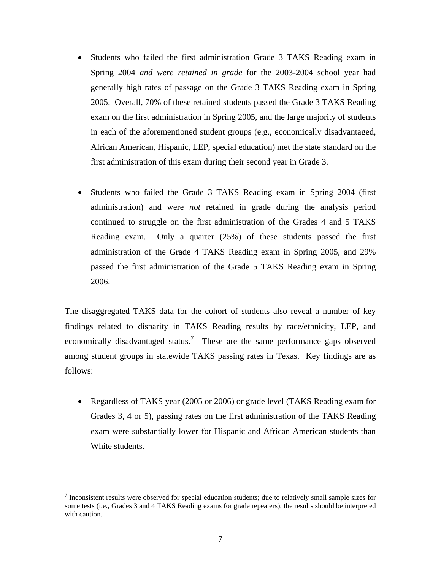- Students who failed the first administration Grade 3 TAKS Reading exam in Spring 2004 *and were retained in grade* for the 2003-2004 school year had generally high rates of passage on the Grade 3 TAKS Reading exam in Spring 2005. Overall, 70% of these retained students passed the Grade 3 TAKS Reading exam on the first administration in Spring 2005, and the large majority of students in each of the aforementioned student groups (e.g., economically disadvantaged, African American, Hispanic, LEP, special education) met the state standard on the first administration of this exam during their second year in Grade 3.
- Students who failed the Grade 3 TAKS Reading exam in Spring 2004 (first administration) and were *not* retained in grade during the analysis period continued to struggle on the first administration of the Grades 4 and 5 TAKS Reading exam. Only a quarter (25%) of these students passed the first administration of the Grade 4 TAKS Reading exam in Spring 2005, and 29% passed the first administration of the Grade 5 TAKS Reading exam in Spring 2006.

The disaggregated TAKS data for the cohort of students also reveal a number of key findings related to disparity in TAKS Reading results by race/ethnicity, LEP, and economically disadvantaged status.<sup>[7](#page-10-0)</sup> These are the same performance gaps observed among student groups in statewide TAKS passing rates in Texas. Key findings are as follows:

• Regardless of TAKS year (2005 or 2006) or grade level (TAKS Reading exam for Grades 3, 4 or 5), passing rates on the first administration of the TAKS Reading exam were substantially lower for Hispanic and African American students than White students.

 $\overline{a}$ 

<span id="page-10-0"></span> $<sup>7</sup>$  Inconsistent results were observed for special education students; due to relatively small sample sizes for</sup> some tests (i.e., Grades 3 and 4 TAKS Reading exams for grade repeaters), the results should be interpreted with caution.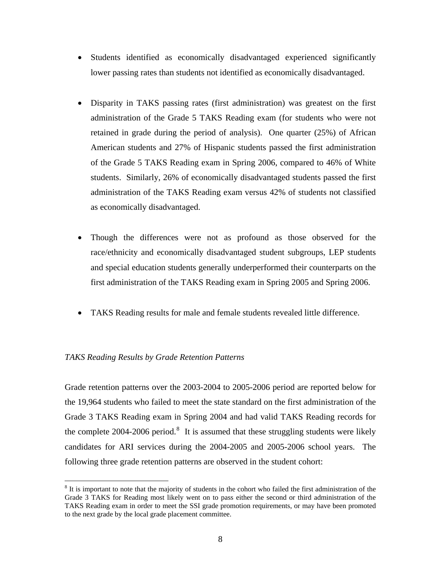- Students identified as economically disadvantaged experienced significantly lower passing rates than students not identified as economically disadvantaged.
- Disparity in TAKS passing rates (first administration) was greatest on the first administration of the Grade 5 TAKS Reading exam (for students who were not retained in grade during the period of analysis). One quarter (25%) of African American students and 27% of Hispanic students passed the first administration of the Grade 5 TAKS Reading exam in Spring 2006, compared to 46% of White students. Similarly, 26% of economically disadvantaged students passed the first administration of the TAKS Reading exam versus 42% of students not classified as economically disadvantaged.
- Though the differences were not as profound as those observed for the race/ethnicity and economically disadvantaged student subgroups, LEP students and special education students generally underperformed their counterparts on the first administration of the TAKS Reading exam in Spring 2005 and Spring 2006.
- TAKS Reading results for male and female students revealed little difference.

#### *TAKS Reading Results by Grade Retention Patterns*

 $\overline{a}$ 

Grade retention patterns over the 2003-2004 to 2005-2006 period are reported below for the 19,964 students who failed to meet the state standard on the first administration of the Grade 3 TAKS Reading exam in Spring 2004 and had valid TAKS Reading records for the complete 2004-2006 period.<sup>[8](#page-11-0)</sup> It is assumed that these struggling students were likely candidates for ARI services during the 2004-2005 and 2005-2006 school years. The following three grade retention patterns are observed in the student cohort:

<span id="page-11-0"></span> $8$  It is important to note that the majority of students in the cohort who failed the first administration of the Grade 3 TAKS for Reading most likely went on to pass either the second or third administration of the TAKS Reading exam in order to meet the SSI grade promotion requirements, or may have been promoted to the next grade by the local grade placement committee.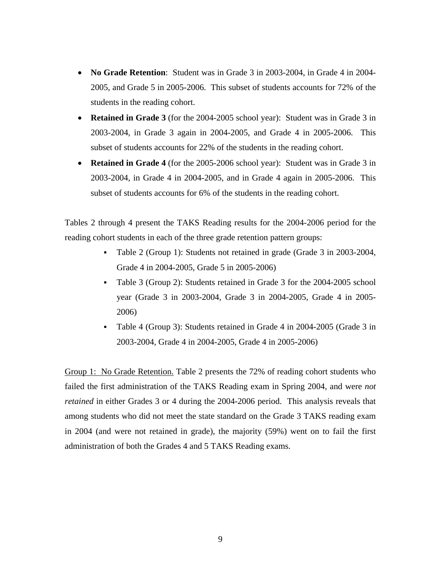- **No Grade Retention**: Student was in Grade 3 in 2003-2004, in Grade 4 in 2004- 2005, and Grade 5 in 2005-2006. This subset of students accounts for 72% of the students in the reading cohort.
- **Retained in Grade 3** (for the 2004-2005 school year): Student was in Grade 3 in 2003-2004, in Grade 3 again in 2004-2005, and Grade 4 in 2005-2006. This subset of students accounts for 22% of the students in the reading cohort.
- **Retained in Grade 4** (for the 2005-2006 school year): Student was in Grade 3 in 2003-2004, in Grade 4 in 2004-2005, and in Grade 4 again in 2005-2006. This subset of students accounts for 6% of the students in the reading cohort.

Tables 2 through 4 present the TAKS Reading results for the 2004-2006 period for the reading cohort students in each of the three grade retention pattern groups:

- Table 2 (Group 1): Students not retained in grade (Grade 3 in 2003-2004, Grade 4 in 2004-2005, Grade 5 in 2005-2006)
- Table 3 (Group 2): Students retained in Grade 3 for the 2004-2005 school year (Grade 3 in 2003-2004, Grade 3 in 2004-2005, Grade 4 in 2005- 2006)
- Table 4 (Group 3): Students retained in Grade 4 in 2004-2005 (Grade 3 in 2003-2004, Grade 4 in 2004-2005, Grade 4 in 2005-2006)

Group 1: No Grade Retention. Table 2 presents the 72% of reading cohort students who failed the first administration of the TAKS Reading exam in Spring 2004, and were *not retained* in either Grades 3 or 4 during the 2004-2006 period. This analysis reveals that among students who did not meet the state standard on the Grade 3 TAKS reading exam in 2004 (and were not retained in grade), the majority (59%) went on to fail the first administration of both the Grades 4 and 5 TAKS Reading exams.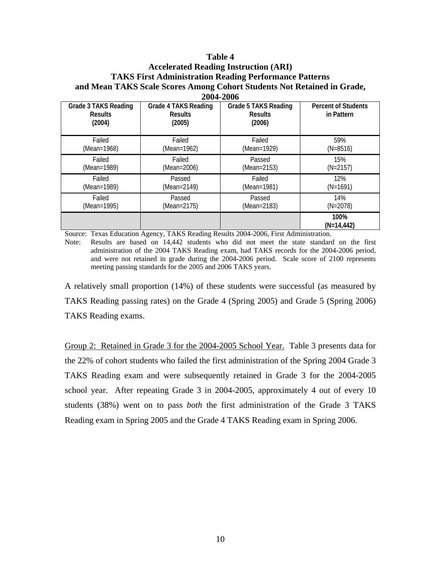# **Accelerated Reading Instruction (ARI) TAKS First Administration Reading Performance Patterns and Mean TAKS Scale Scores Among Cohort Students Not Retained in Grade, 2004-2006**

| <b>Grade 3 TAKS Reading</b><br><b>Results</b><br>(2004) | <b>Grade 4 TAKS Reading</b><br><b>Results</b><br>(2005) | <b>Grade 5 TAKS Reading</b><br><b>Results</b><br>(2006) | <b>Percent of Students</b><br>in Pattern |
|---------------------------------------------------------|---------------------------------------------------------|---------------------------------------------------------|------------------------------------------|
| Failed                                                  | Failed                                                  | Failed                                                  | 59%                                      |
| (Mean=1968)                                             | (Mean=1962)                                             | (Mean=1929)                                             | $(N=8516)$                               |
| Failed                                                  | Failed                                                  | Passed                                                  | 15%                                      |
| (Mean=1989)                                             | (Mean=2006)                                             | (Mean=2153)                                             | $(N=2157)$                               |
| Failed                                                  | Passed                                                  | Failed                                                  | 12%                                      |
| (Mean=1989)                                             | (Mean=2149)                                             | (Mean=1981)                                             | $(N=1691)$                               |
| Failed                                                  | Passed                                                  | Passed                                                  | 14%                                      |
| (Mean=1995)                                             | (Mean=2175)                                             | (Mean=2183)                                             | $(N=2078)$                               |
|                                                         |                                                         |                                                         | 100%<br>(N=14,442)                       |

Source: Texas Education Agency, TAKS Reading Results 2004-2006, First Administration.

Note: Results are based on 14,442 students who did not meet the state standard on the first administration of the 2004 TAKS Reading exam, had TAKS records for the 2004-2006 period, and were not retained in grade during the 2004-2006 period. Scale score of 2100 represents meeting passing standards for the 2005 and 2006 TAKS years.

A relatively small proportion (14%) of these students were successful (as measured by TAKS Reading passing rates) on the Grade 4 (Spring 2005) and Grade 5 (Spring 2006) TAKS Reading exams.

Group 2: Retained in Grade 3 for the 2004-2005 School Year. Table 3 presents data for the 22% of cohort students who failed the first administration of the Spring 2004 Grade 3 TAKS Reading exam and were subsequently retained in Grade 3 for the 2004-2005 school year. After repeating Grade 3 in 2004-2005, approximately 4 out of every 10 students (38%) went on to pass *both* the first administration of the Grade 3 TAKS Reading exam in Spring 2005 and the Grade 4 TAKS Reading exam in Spring 2006.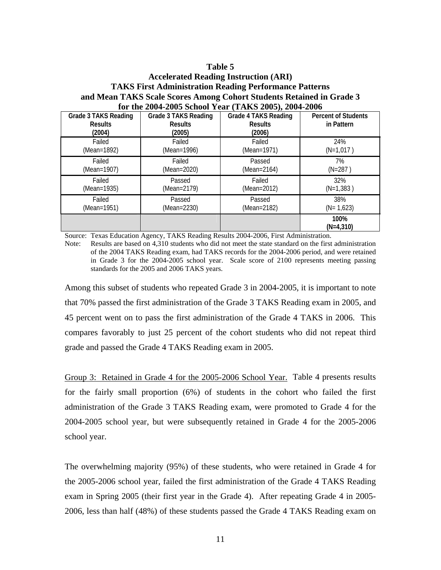# **Accelerated Reading Instruction (ARI) TAKS First Administration Reading Performance Patterns and Mean TAKS Scale Scores Among Cohort Students Retained in Grade 3 for the 2004-2005 School Year (TAKS 2005), 2004-2006**

| <b>Grade 3 TAKS Reading</b><br><b>Results</b><br>(2004) | <b>Grade 3 TAKS Reading</b><br><b>Results</b><br>(2005) | <b>Grade 4 TAKS Reading</b><br><b>Results</b><br>(2006) | <b>Percent of Students</b><br>in Pattern |
|---------------------------------------------------------|---------------------------------------------------------|---------------------------------------------------------|------------------------------------------|
| Failed                                                  | Failed                                                  | Failed                                                  | 24%                                      |
| (Mean=1892)                                             | (Mean=1996)                                             | (Mean=1971)                                             | $(N=1,017)$                              |
| Failed                                                  | Failed                                                  | Passed                                                  | 7%                                       |
| (Mean=1907)                                             | (Mean=2020)                                             | (Mean=2164)                                             | $(N=287)$                                |
| Failed                                                  | Passed                                                  | Failed                                                  | 32%                                      |
| (Mean=1935)                                             | (Mean=2179)                                             | (Mean=2012)                                             | $(N=1,383)$                              |
| Failed                                                  | Passed                                                  | Passed                                                  | 38%                                      |
| (Mean=1951)                                             | (Mean=2230)                                             | (Mean=2182)                                             | $(N=1,623)$                              |
|                                                         |                                                         |                                                         | 100%<br>$(N=4,310)$                      |

Source: Texas Education Agency, TAKS Reading Results 2004-2006, First Administration.

Note: Results are based on 4,310 students who did not meet the state standard on the first administration of the 2004 TAKS Reading exam, had TAKS records for the 2004-2006 period, and were retained in Grade 3 for the 2004-2005 school year. Scale score of 2100 represents meeting passing standards for the 2005 and 2006 TAKS years.

Among this subset of students who repeated Grade 3 in 2004-2005, it is important to note that 70% passed the first administration of the Grade 3 TAKS Reading exam in 2005, and 45 percent went on to pass the first administration of the Grade 4 TAKS in 2006. This compares favorably to just 25 percent of the cohort students who did not repeat third grade and passed the Grade 4 TAKS Reading exam in 2005.

Group 3: Retained in Grade 4 for the 2005-2006 School Year. Table 4 presents results for the fairly small proportion (6%) of students in the cohort who failed the first administration of the Grade 3 TAKS Reading exam, were promoted to Grade 4 for the 2004-2005 school year, but were subsequently retained in Grade 4 for the 2005-2006 school year.

The overwhelming majority (95%) of these students, who were retained in Grade 4 for the 2005-2006 school year, failed the first administration of the Grade 4 TAKS Reading exam in Spring 2005 (their first year in the Grade 4). After repeating Grade 4 in 2005- 2006, less than half (48%) of these students passed the Grade 4 TAKS Reading exam on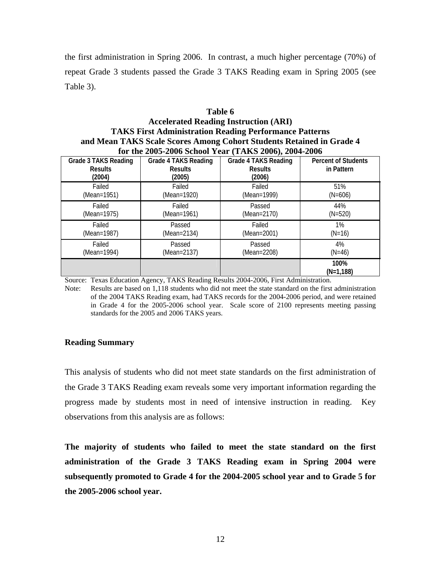the first administration in Spring 2006. In contrast, a much higher percentage (70%) of repeat Grade 3 students passed the Grade 3 TAKS Reading exam in Spring 2005 (see Table 3).

# **Table 6 Accelerated Reading Instruction (ARI) TAKS First Administration Reading Performance Patterns and Mean TAKS Scale Scores Among Cohort Students Retained in Grade 4 for the 2005-2006 School Year (TAKS 2006), 2004-2006**

| <b>Grade 3 TAKS Reading</b><br><b>Results</b><br>(2004) | <b>Grade 4 TAKS Reading</b><br><b>Results</b><br>(2005) | <b>Grade 4 TAKS Reading</b><br><b>Results</b><br>(2006) | <b>Percent of Students</b><br>in Pattern |
|---------------------------------------------------------|---------------------------------------------------------|---------------------------------------------------------|------------------------------------------|
| Failed                                                  | Failed                                                  | Failed                                                  | 51%                                      |
| (Mean=1951)                                             | (Mean=1920)                                             | (Mean=1999)                                             | $(N=606)$                                |
| Failed                                                  | Failed                                                  | Passed                                                  | 44%                                      |
| (Mean=1975)                                             | (Mean=1961)                                             | (Mean=2170)                                             | $(N=520)$                                |
| Failed                                                  | Passed                                                  | Failed                                                  | $1\%$                                    |
| (Mean=1987)                                             | (Mean=2134)                                             | (Mean=2001)                                             | $(N=16)$                                 |
| Failed                                                  | Passed                                                  | Passed                                                  | 4%                                       |
| (Mean=1994)                                             | (Mean=2137)                                             | (Mean=2208)                                             | $(N=46)$                                 |
|                                                         |                                                         |                                                         | 100%<br>$(N=1.188)$                      |

Source: Texas Education Agency, TAKS Reading Results 2004-2006, First Administration.

Note: Results are based on 1,118 students who did not meet the state standard on the first administration of the 2004 TAKS Reading exam, had TAKS records for the 2004-2006 period, and were retained in Grade 4 for the 2005-2006 school year. Scale score of 2100 represents meeting passing standards for the 2005 and 2006 TAKS years.

#### **Reading Summary**

This analysis of students who did not meet state standards on the first administration of the Grade 3 TAKS Reading exam reveals some very important information regarding the progress made by students most in need of intensive instruction in reading. Key observations from this analysis are as follows:

**The majority of students who failed to meet the state standard on the first administration of the Grade 3 TAKS Reading exam in Spring 2004 were subsequently promoted to Grade 4 for the 2004-2005 school year and to Grade 5 for the 2005-2006 school year.**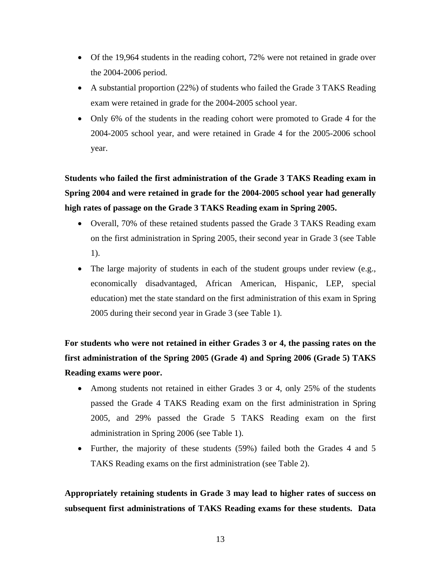- Of the 19,964 students in the reading cohort, 72% were not retained in grade over the 2004-2006 period.
- A substantial proportion (22%) of students who failed the Grade 3 TAKS Reading exam were retained in grade for the 2004-2005 school year.
- Only 6% of the students in the reading cohort were promoted to Grade 4 for the 2004-2005 school year, and were retained in Grade 4 for the 2005-2006 school year.

**Students who failed the first administration of the Grade 3 TAKS Reading exam in Spring 2004 and were retained in grade for the 2004-2005 school year had generally high rates of passage on the Grade 3 TAKS Reading exam in Spring 2005.** 

- Overall, 70% of these retained students passed the Grade 3 TAKS Reading exam on the first administration in Spring 2005, their second year in Grade 3 (see Table 1).
- The large majority of students in each of the student groups under review (e.g., economically disadvantaged, African American, Hispanic, LEP, special education) met the state standard on the first administration of this exam in Spring 2005 during their second year in Grade 3 (see Table 1).

**For students who were not retained in either Grades 3 or 4, the passing rates on the first administration of the Spring 2005 (Grade 4) and Spring 2006 (Grade 5) TAKS Reading exams were poor.** 

- Among students not retained in either Grades 3 or 4, only 25% of the students passed the Grade 4 TAKS Reading exam on the first administration in Spring 2005, and 29% passed the Grade 5 TAKS Reading exam on the first administration in Spring 2006 (see Table 1).
- Further, the majority of these students (59%) failed both the Grades 4 and 5 TAKS Reading exams on the first administration (see Table 2).

**Appropriately retaining students in Grade 3 may lead to higher rates of success on subsequent first administrations of TAKS Reading exams for these students. Data**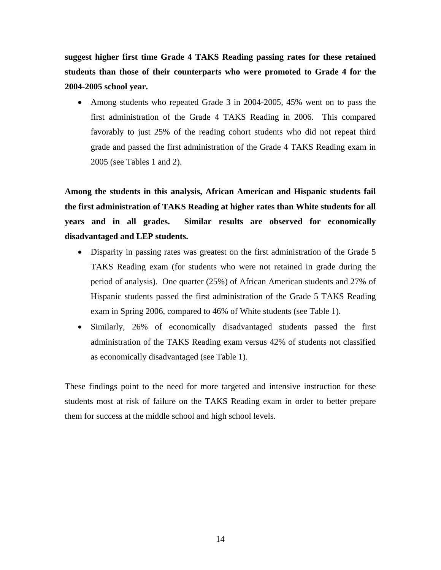**suggest higher first time Grade 4 TAKS Reading passing rates for these retained students than those of their counterparts who were promoted to Grade 4 for the 2004-2005 school year.** 

• Among students who repeated Grade 3 in 2004-2005, 45% went on to pass the first administration of the Grade 4 TAKS Reading in 2006. This compared favorably to just 25% of the reading cohort students who did not repeat third grade and passed the first administration of the Grade 4 TAKS Reading exam in 2005 (see Tables 1 and 2).

**Among the students in this analysis, African American and Hispanic students fail the first administration of TAKS Reading at higher rates than White students for all years and in all grades. Similar results are observed for economically disadvantaged and LEP students.**

- Disparity in passing rates was greatest on the first administration of the Grade 5 TAKS Reading exam (for students who were not retained in grade during the period of analysis). One quarter (25%) of African American students and 27% of Hispanic students passed the first administration of the Grade 5 TAKS Reading exam in Spring 2006, compared to 46% of White students (see Table 1).
- Similarly, 26% of economically disadvantaged students passed the first administration of the TAKS Reading exam versus 42% of students not classified as economically disadvantaged (see Table 1).

These findings point to the need for more targeted and intensive instruction for these students most at risk of failure on the TAKS Reading exam in order to better prepare them for success at the middle school and high school levels.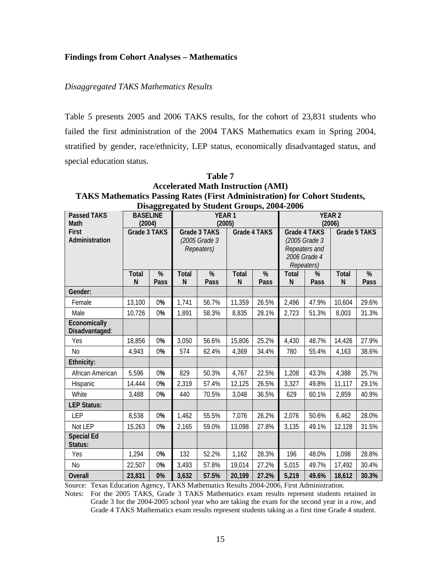## **Findings from Cohort Analyses – Mathematics**

### *Disaggregated TAKS Mathematics Results*

Table 5 presents 2005 and 2006 TAKS results, for the cohort of 23,831 students who failed the first administration of the 2004 TAKS Mathematics exam in Spring 2004, stratified by gender, race/ethnicity, LEP status, economically disadvantaged status, and special education status.

| Disaggregated by Student Groups, 2004-2006 |                 |      |                             |               |              |              |                         |               |              |              |
|--------------------------------------------|-----------------|------|-----------------------------|---------------|--------------|--------------|-------------------------|---------------|--------------|--------------|
| <b>Passed TAKS</b>                         | <b>BASELINE</b> |      | YEAR <sub>1</sub><br>(2005) |               |              |              | <b>YEAR 2</b><br>(2006) |               |              |              |
| Math                                       | (2004)          |      |                             |               |              |              |                         |               |              |              |
| <b>First</b>                               | Grade 3 TAKS    |      |                             | Grade 3 TAKS  |              | Grade 4 TAKS |                         | Grade 4 TAKS  |              | Grade 5 TAKS |
| Administration                             |                 |      |                             | (2005 Grade 3 |              |              |                         | (2005 Grade 3 |              |              |
|                                            |                 |      |                             | Repeaters)    |              |              |                         | Repeaters and |              |              |
|                                            |                 |      |                             |               |              |              |                         | 2006 Grade 4  |              |              |
|                                            |                 |      |                             |               |              |              |                         | Repeaters)    |              |              |
|                                            | <b>Total</b>    | %    | Total                       | %             | <b>Total</b> | %            | <b>Total</b>            | %             | <b>Total</b> | %            |
|                                            | N               | Pass | N                           | Pass          | N            | Pass         | N                       | Pass          | $\mathsf{N}$ | Pass         |
| Gender:                                    |                 |      |                             |               |              |              |                         |               |              |              |
| Female                                     | 13,100          | 0%   | 1,741                       | 56.7%         | 11,359       | 26.5%        | 2,496                   | 47.9%         | 10,604       | 29.6%        |
| Male                                       | 10,726          | 0%   | 1,891                       | 58.3%         | 8,835        | 28.1%        | 2,723                   | 51.3%         | 8,003        | 31.3%        |
| Economically<br>Disadvantaged:             |                 |      |                             |               |              |              |                         |               |              |              |
| Yes                                        | 18,856          | 0%   | 3,050                       | 56.6%         | 15,806       | 25.2%        | 4,430                   | 48.7%         | 14,426       | 27.9%        |
| No                                         | 4,943           | 0%   | 574                         | 62.4%         | 4,369        | 34.4%        | 780                     | 55.4%         | 4,163        | 38.6%        |
| Ethnicity:                                 |                 |      |                             |               |              |              |                         |               |              |              |
| African American                           | 5,596           | 0%   | 829                         | 50.3%         | 4,767        | 22.5%        | 1,208                   | 43.3%         | 4,388        | 25.7%        |
| Hispanic                                   | 14,444          | 0%   | 2,319                       | 57.4%         | 12,125       | 26.5%        | 3,327                   | 49.8%         | 11,117       | 29.1%        |
| White                                      | 3,488           | 0%   | 440                         | 70.5%         | 3,048        | 36.5%        | 629                     | 60.1%         | 2,859        | 40.9%        |
| <b>LEP Status:</b>                         |                 |      |                             |               |              |              |                         |               |              |              |
| <b>LEP</b>                                 | 8,538           | 0%   | 1,462                       | 55.5%         | 7,076        | 26.2%        | 2,076                   | 50.6%         | 6,462        | 28.0%        |
| Not LEP                                    | 15,263          | 0%   | 2,165                       | 59.0%         | 13,098       | 27.8%        | 3,135                   | 49.1%         | 12,128       | 31.5%        |
| <b>Special Ed</b><br>Status:               |                 |      |                             |               |              |              |                         |               |              |              |
| Yes                                        | 1,294           | 0%   | 132                         | 52.2%         | 1,162        | 28.3%        | 196                     | 48.0%         | 1,098        | 28.8%        |
| N <sub>0</sub>                             | 22,507          | 0%   | 3,493                       | 57.8%         | 19,014       | 27.2%        | 5,015                   | 49.7%         | 17,492       | 30.4%        |
| <b>Overall</b>                             | 23,831          | 0%   | 3,632                       | 57.5%         | 20,199       | 27.2%        | 5,219                   | 49.6%         | 18,612       | 30.3%        |

**Table 7 Accelerated Math Instruction (AMI) TAKS Mathematics Passing Rates (First Administration) for Cohort Students,** 

Source: Texas Education Agency, TAKS Mathematics Results 2004-2006, First Administration.

Notes: For the 2005 TAKS, Grade 3 TAKS Mathematics exam results represent students retained in Grade 3 for the 2004-2005 school year who are taking the exam for the second year in a row, and Grade 4 TAKS Mathematics exam results represent students taking as a first time Grade 4 student.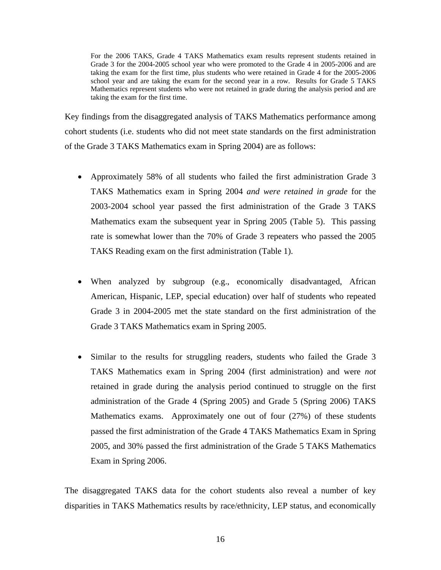For the 2006 TAKS, Grade 4 TAKS Mathematics exam results represent students retained in Grade 3 for the 2004-2005 school year who were promoted to the Grade 4 in 2005-2006 and are taking the exam for the first time, plus students who were retained in Grade 4 for the 2005-2006 school year and are taking the exam for the second year in a row. Results for Grade 5 TAKS Mathematics represent students who were not retained in grade during the analysis period and are taking the exam for the first time.

Key findings from the disaggregated analysis of TAKS Mathematics performance among cohort students (i.e. students who did not meet state standards on the first administration of the Grade 3 TAKS Mathematics exam in Spring 2004) are as follows:

- Approximately 58% of all students who failed the first administration Grade 3 TAKS Mathematics exam in Spring 2004 *and were retained in grade* for the 2003-2004 school year passed the first administration of the Grade 3 TAKS Mathematics exam the subsequent year in Spring 2005 (Table 5). This passing rate is somewhat lower than the 70% of Grade 3 repeaters who passed the 2005 TAKS Reading exam on the first administration (Table 1).
- When analyzed by subgroup (e.g., economically disadvantaged, African American, Hispanic, LEP, special education) over half of students who repeated Grade 3 in 2004-2005 met the state standard on the first administration of the Grade 3 TAKS Mathematics exam in Spring 2005.
- Similar to the results for struggling readers, students who failed the Grade 3 TAKS Mathematics exam in Spring 2004 (first administration) and were *not* retained in grade during the analysis period continued to struggle on the first administration of the Grade 4 (Spring 2005) and Grade 5 (Spring 2006) TAKS Mathematics exams. Approximately one out of four (27%) of these students passed the first administration of the Grade 4 TAKS Mathematics Exam in Spring 2005, and 30% passed the first administration of the Grade 5 TAKS Mathematics Exam in Spring 2006.

The disaggregated TAKS data for the cohort students also reveal a number of key disparities in TAKS Mathematics results by race/ethnicity, LEP status, and economically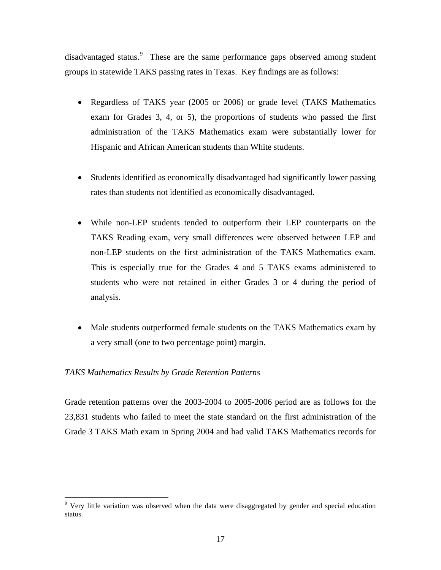disadvantaged status.<sup>[9](#page-20-0)</sup> These are the same performance gaps observed among student groups in statewide TAKS passing rates in Texas. Key findings are as follows:

- Regardless of TAKS year (2005 or 2006) or grade level (TAKS Mathematics exam for Grades 3, 4, or 5), the proportions of students who passed the first administration of the TAKS Mathematics exam were substantially lower for Hispanic and African American students than White students.
- Students identified as economically disadvantaged had significantly lower passing rates than students not identified as economically disadvantaged.
- While non-LEP students tended to outperform their LEP counterparts on the TAKS Reading exam, very small differences were observed between LEP and non-LEP students on the first administration of the TAKS Mathematics exam. This is especially true for the Grades 4 and 5 TAKS exams administered to students who were not retained in either Grades 3 or 4 during the period of analysis.
- Male students outperformed female students on the TAKS Mathematics exam by a very small (one to two percentage point) margin.

#### *TAKS Mathematics Results by Grade Retention Patterns*

 $\overline{a}$ 

Grade retention patterns over the 2003-2004 to 2005-2006 period are as follows for the 23,831 students who failed to meet the state standard on the first administration of the Grade 3 TAKS Math exam in Spring 2004 and had valid TAKS Mathematics records for

<span id="page-20-0"></span><sup>&</sup>lt;sup>9</sup> Very little variation was observed when the data were disaggregated by gender and special education status.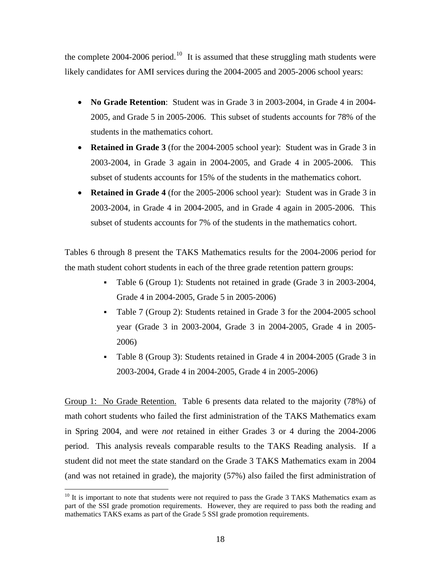the complete 2004-2006 period.<sup>[10](#page-21-0)</sup> It is assumed that these struggling math students were likely candidates for AMI services during the 2004-2005 and 2005-2006 school years:

- **No Grade Retention**: Student was in Grade 3 in 2003-2004, in Grade 4 in 2004- 2005, and Grade 5 in 2005-2006. This subset of students accounts for 78% of the students in the mathematics cohort.
- **Retained in Grade 3** (for the 2004-2005 school year): Student was in Grade 3 in 2003-2004, in Grade 3 again in 2004-2005, and Grade 4 in 2005-2006. This subset of students accounts for 15% of the students in the mathematics cohort.
- **Retained in Grade 4** (for the 2005-2006 school year): Student was in Grade 3 in 2003-2004, in Grade 4 in 2004-2005, and in Grade 4 again in 2005-2006. This subset of students accounts for 7% of the students in the mathematics cohort.

Tables 6 through 8 present the TAKS Mathematics results for the 2004-2006 period for the math student cohort students in each of the three grade retention pattern groups:

- Table 6 (Group 1): Students not retained in grade (Grade 3 in 2003-2004, Grade 4 in 2004-2005, Grade 5 in 2005-2006)
- Table 7 (Group 2): Students retained in Grade 3 for the 2004-2005 school year (Grade 3 in 2003-2004, Grade 3 in 2004-2005, Grade 4 in 2005- 2006)
- Table 8 (Group 3): Students retained in Grade 4 in 2004-2005 (Grade 3 in 2003-2004, Grade 4 in 2004-2005, Grade 4 in 2005-2006)

Group 1: No Grade Retention. Table 6 presents data related to the majority (78%) of math cohort students who failed the first administration of the TAKS Mathematics exam in Spring 2004, and were *not* retained in either Grades 3 or 4 during the 2004-2006 period. This analysis reveals comparable results to the TAKS Reading analysis. If a student did not meet the state standard on the Grade 3 TAKS Mathematics exam in 2004 (and was not retained in grade), the majority (57%) also failed the first administration of

 $\overline{a}$ 

<span id="page-21-0"></span><sup>&</sup>lt;sup>10</sup> It is important to note that students were not required to pass the Grade 3 TAKS Mathematics exam as part of the SSI grade promotion requirements. However, they are required to pass both the reading and mathematics TAKS exams as part of the Grade 5 SSI grade promotion requirements.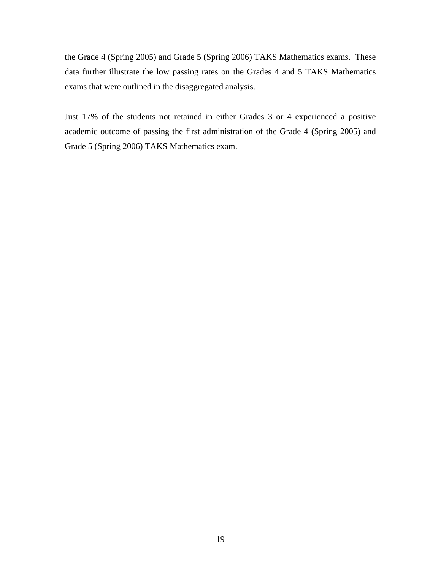the Grade 4 (Spring 2005) and Grade 5 (Spring 2006) TAKS Mathematics exams. These data further illustrate the low passing rates on the Grades 4 and 5 TAKS Mathematics exams that were outlined in the disaggregated analysis.

Just 17% of the students not retained in either Grades 3 or 4 experienced a positive academic outcome of passing the first administration of the Grade 4 (Spring 2005) and Grade 5 (Spring 2006) TAKS Mathematics exam.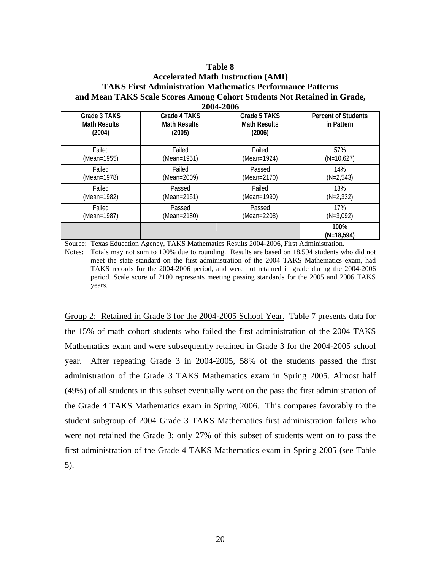#### **Accelerated Math Instruction (AMI) TAKS First Administration Mathematics Performance Patterns and Mean TAKS Scale Scores Among Cohort Students Not Retained in Grade, 2004-2006**

|                                               | $\blacksquare$ vvi $\blacksquare$ vv          |                                               |                                          |
|-----------------------------------------------|-----------------------------------------------|-----------------------------------------------|------------------------------------------|
| Grade 3 TAKS<br><b>Math Results</b><br>(2004) | Grade 4 TAKS<br><b>Math Results</b><br>(2005) | Grade 5 TAKS<br><b>Math Results</b><br>(2006) | <b>Percent of Students</b><br>in Pattern |
| Failed                                        | Failed                                        | Failed                                        | 57%                                      |
| (Mean=1955)                                   | (Mean=1951)                                   | (Mean=1924)                                   | $(N=10,627)$                             |
| Failed                                        | Failed                                        | Passed                                        | 14%                                      |
| (Mean=1978)                                   | (Mean=2009)                                   | (Mean=2170)                                   | $(N=2,543)$                              |
| Failed                                        | Passed                                        | Failed                                        | 13%                                      |
| (Mean=1982)                                   | (Mean=2151)                                   | (Mean=1990)                                   | $(N=2,332)$                              |
| Failed                                        | Passed                                        | Passed                                        | 17%                                      |
| (Mean=1987)                                   | (Mean=2180)                                   | (Mean=2208)                                   | $(N=3,092)$                              |
|                                               |                                               |                                               | 100%<br>$(N=18,594)$                     |

Source: Texas Education Agency, TAKS Mathematics Results 2004-2006, First Administration. Notes: Totals may not sum to 100% due to rounding. Results are based on 18,594 students who did not

meet the state standard on the first administration of the 2004 TAKS Mathematics exam, had TAKS records for the 2004-2006 period, and were not retained in grade during the 2004-2006 period. Scale score of 2100 represents meeting passing standards for the 2005 and 2006 TAKS years.

Group 2: Retained in Grade 3 for the 2004-2005 School Year. Table 7 presents data for the 15% of math cohort students who failed the first administration of the 2004 TAKS Mathematics exam and were subsequently retained in Grade 3 for the 2004-2005 school year. After repeating Grade 3 in 2004-2005, 58% of the students passed the first administration of the Grade 3 TAKS Mathematics exam in Spring 2005. Almost half (49%) of all students in this subset eventually went on the pass the first administration of the Grade 4 TAKS Mathematics exam in Spring 2006. This compares favorably to the student subgroup of 2004 Grade 3 TAKS Mathematics first administration failers who were not retained the Grade 3; only 27% of this subset of students went on to pass the first administration of the Grade 4 TAKS Mathematics exam in Spring 2005 (see Table 5).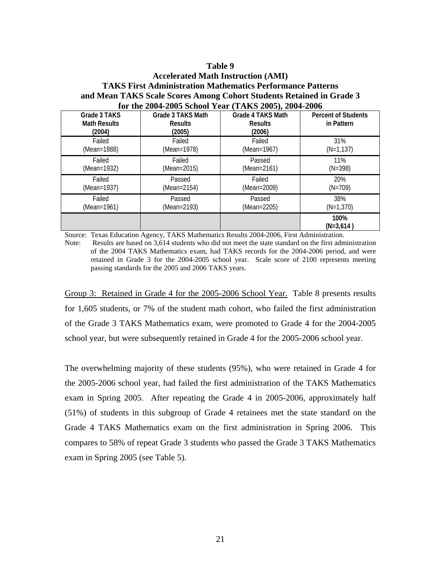## **Accelerated Math Instruction (AMI) TAKS First Administration Mathematics Performance Patterns and Mean TAKS Scale Scores Among Cohort Students Retained in Grade 3 for the 2004-2005 School Year (TAKS 2005), 2004-2006**

| Grade 3 TAKS<br><b>Math Results</b><br>(2004) | Grade 3 TAKS Math<br><b>Results</b><br>(2005) | Grade 4 TAKS Math<br><b>Results</b><br>(2006) | <b>Percent of Students</b><br>in Pattern |
|-----------------------------------------------|-----------------------------------------------|-----------------------------------------------|------------------------------------------|
| Failed                                        | Failed                                        | Failed                                        | 31%                                      |
| (Mean=1888)                                   | (Mean=1978)                                   | (Mean=1967)                                   | $(N=1, 137)$                             |
| Failed                                        | Failed                                        | Passed                                        | 11%                                      |
| (Mean=1932)                                   | (Mean=2015)                                   | (Mean=2161)                                   | $(N=398)$                                |
| Failed                                        | Passed                                        | Failed                                        | 20%                                      |
| (Mean=1937)                                   | (Mean=2154)                                   | (Mean=2009)                                   | $(N=709)$                                |
| Failed                                        | Passed                                        | Passed                                        | 38%                                      |
| (Mean=1961)                                   | (Mean=2193)                                   | (Mean=2205)                                   | $(N=1,370)$                              |
|                                               |                                               |                                               | 100%<br>$(N=3,614)$                      |

Source: Texas Education Agency, TAKS Mathematics Results 2004-2006, First Administration.

Note: Results are based on 3,614 students who did not meet the state standard on the first administration of the 2004 TAKS Mathematics exam, had TAKS records for the 2004-2006 period, and were retained in Grade 3 for the 2004-2005 school year. Scale score of 2100 represents meeting passing standards for the 2005 and 2006 TAKS years.

Group 3: Retained in Grade 4 for the 2005-2006 School Year. Table 8 presents results for 1,605 students, or 7% of the student math cohort, who failed the first administration of the Grade 3 TAKS Mathematics exam, were promoted to Grade 4 for the 2004-2005 school year, but were subsequently retained in Grade 4 for the 2005-2006 school year.

The overwhelming majority of these students (95%), who were retained in Grade 4 for the 2005-2006 school year, had failed the first administration of the TAKS Mathematics exam in Spring 2005. After repeating the Grade 4 in 2005-2006, approximately half (51%) of students in this subgroup of Grade 4 retainees met the state standard on the Grade 4 TAKS Mathematics exam on the first administration in Spring 2006. This compares to 58% of repeat Grade 3 students who passed the Grade 3 TAKS Mathematics exam in Spring 2005 (see Table 5).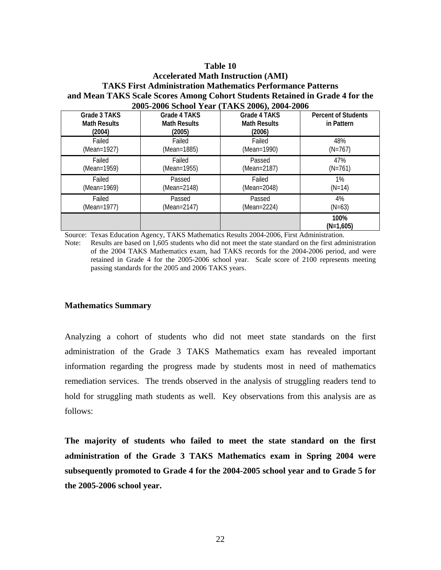### **Accelerated Math Instruction (AMI) TAKS First Administration Mathematics Performance Patterns and Mean TAKS Scale Scores Among Cohort Students Retained in Grade 4 for the 2005-2006 School Year (TAKS 2006), 2004-2006**

| Grade 3 TAKS<br><b>Math Results</b><br>(2004) | Grade 4 TAKS<br><b>Math Results</b><br>(2005) | Grade 4 TAKS<br><b>Math Results</b><br>(2006) | <b>Percent of Students</b><br>in Pattern |
|-----------------------------------------------|-----------------------------------------------|-----------------------------------------------|------------------------------------------|
| Failed                                        | Failed                                        | Failed                                        | 48%                                      |
| (Mean=1927)                                   | (Mean=1885)                                   | (Mean=1990)                                   | $(N=767)$                                |
| Failed                                        | Failed                                        | Passed                                        | 47%                                      |
| (Mean=1959)                                   | (Mean=1955)                                   | (Mean=2187)                                   | $(N=761)$                                |
| Failed                                        | Passed                                        | Failed                                        | $1\%$                                    |
| (Mean=1969)                                   | (Mean=2148)                                   | (Mean=2048)                                   | $(N=14)$                                 |
| Failed                                        | Passed                                        | Passed                                        | $4\%$                                    |
| (Mean=1977)                                   | (Mean=2147)                                   | (Mean=2224)                                   | $(N=63)$                                 |
|                                               |                                               |                                               | 100%<br>$(N=1,605)$                      |

Source: Texas Education Agency, TAKS Mathematics Results 2004-2006, First Administration.

Note: Results are based on 1,605 students who did not meet the state standard on the first administration of the 2004 TAKS Mathematics exam, had TAKS records for the 2004-2006 period, and were retained in Grade 4 for the 2005-2006 school year. Scale score of 2100 represents meeting passing standards for the 2005 and 2006 TAKS years.

#### **Mathematics Summary**

Analyzing a cohort of students who did not meet state standards on the first administration of the Grade 3 TAKS Mathematics exam has revealed important information regarding the progress made by students most in need of mathematics remediation services. The trends observed in the analysis of struggling readers tend to hold for struggling math students as well. Key observations from this analysis are as follows:

**The majority of students who failed to meet the state standard on the first administration of the Grade 3 TAKS Mathematics exam in Spring 2004 were subsequently promoted to Grade 4 for the 2004-2005 school year and to Grade 5 for the 2005-2006 school year.**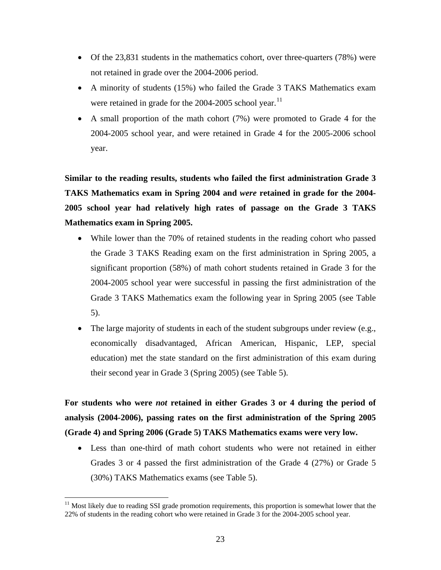- Of the 23,831 students in the mathematics cohort, over three-quarters (78%) were not retained in grade over the 2004-2006 period.
- A minority of students (15%) who failed the Grade 3 TAKS Mathematics exam were retained in grade for the 2004-2005 school year.<sup>[11](#page-26-0)</sup>
- A small proportion of the math cohort (7%) were promoted to Grade 4 for the 2004-2005 school year, and were retained in Grade 4 for the 2005-2006 school year.

**Similar to the reading results, students who failed the first administration Grade 3 TAKS Mathematics exam in Spring 2004 and** *were* **retained in grade for the 2004- 2005 school year had relatively high rates of passage on the Grade 3 TAKS Mathematics exam in Spring 2005.** 

- While lower than the 70% of retained students in the reading cohort who passed the Grade 3 TAKS Reading exam on the first administration in Spring 2005, a significant proportion (58%) of math cohort students retained in Grade 3 for the 2004-2005 school year were successful in passing the first administration of the Grade 3 TAKS Mathematics exam the following year in Spring 2005 (see Table 5).
- The large majority of students in each of the student subgroups under review (e.g., economically disadvantaged, African American, Hispanic, LEP, special education) met the state standard on the first administration of this exam during their second year in Grade 3 (Spring 2005) (see Table 5).

**For students who were** *not* **retained in either Grades 3 or 4 during the period of analysis (2004-2006), passing rates on the first administration of the Spring 2005 (Grade 4) and Spring 2006 (Grade 5) TAKS Mathematics exams were very low.** 

• Less than one-third of math cohort students who were not retained in either Grades 3 or 4 passed the first administration of the Grade 4 (27%) or Grade 5 (30%) TAKS Mathematics exams (see Table 5).

 $\overline{a}$ 

<span id="page-26-0"></span><sup>&</sup>lt;sup>11</sup> Most likely due to reading SSI grade promotion requirements, this proportion is somewhat lower that the 22% of students in the reading cohort who were retained in Grade 3 for the 2004-2005 school year.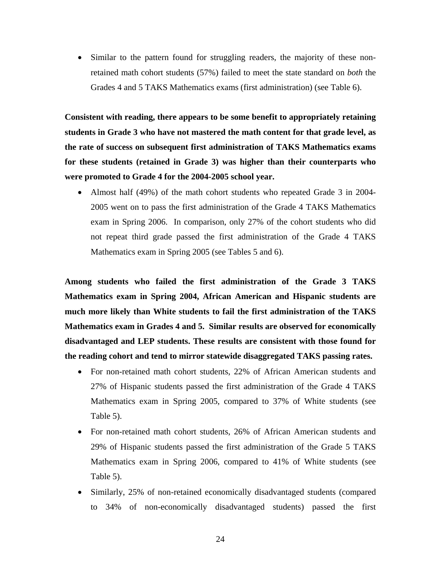• Similar to the pattern found for struggling readers, the majority of these nonretained math cohort students (57%) failed to meet the state standard on *both* the Grades 4 and 5 TAKS Mathematics exams (first administration) (see Table 6).

**Consistent with reading, there appears to be some benefit to appropriately retaining students in Grade 3 who have not mastered the math content for that grade level, as the rate of success on subsequent first administration of TAKS Mathematics exams for these students (retained in Grade 3) was higher than their counterparts who were promoted to Grade 4 for the 2004-2005 school year.** 

• Almost half (49%) of the math cohort students who repeated Grade 3 in 2004- 2005 went on to pass the first administration of the Grade 4 TAKS Mathematics exam in Spring 2006. In comparison, only 27% of the cohort students who did not repeat third grade passed the first administration of the Grade 4 TAKS Mathematics exam in Spring 2005 (see Tables 5 and 6).

**Among students who failed the first administration of the Grade 3 TAKS Mathematics exam in Spring 2004, African American and Hispanic students are much more likely than White students to fail the first administration of the TAKS Mathematics exam in Grades 4 and 5. Similar results are observed for economically disadvantaged and LEP students. These results are consistent with those found for the reading cohort and tend to mirror statewide disaggregated TAKS passing rates.**

- For non-retained math cohort students, 22% of African American students and 27% of Hispanic students passed the first administration of the Grade 4 TAKS Mathematics exam in Spring 2005, compared to 37% of White students (see Table 5).
- For non-retained math cohort students, 26% of African American students and 29% of Hispanic students passed the first administration of the Grade 5 TAKS Mathematics exam in Spring 2006, compared to 41% of White students (see Table 5).
- Similarly, 25% of non-retained economically disadvantaged students (compared to 34% of non-economically disadvantaged students) passed the first